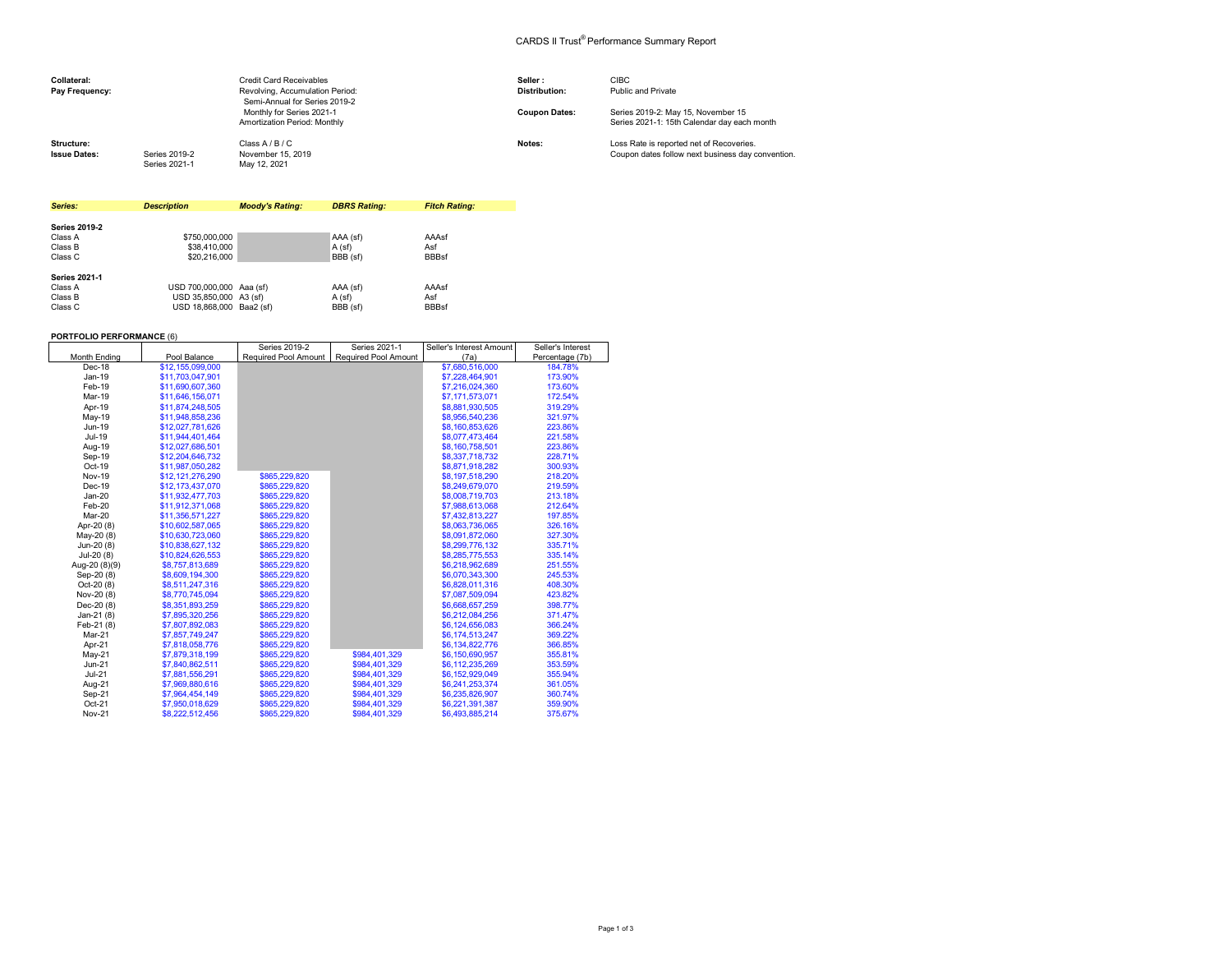## CARDS II Trust® Performance Summary Report

| Collateral:<br>Pay Frequency:     |                                | <b>Credit Card Receivables</b><br>Revolving, Accumulation Period:<br>Semi-Annual for Series 2019-2 | Seller:<br><b>Distribution:</b> | <b>CIBC</b><br>Public and Private                                                             |
|-----------------------------------|--------------------------------|----------------------------------------------------------------------------------------------------|---------------------------------|-----------------------------------------------------------------------------------------------|
|                                   |                                | Monthly for Series 2021-1<br>Amortization Period: Monthly                                          | <b>Coupon Dates:</b>            | Series 2019-2: May 15, November 15<br>Series 2021-1: 15th Calendar day each month             |
| Structure:<br><b>Issue Dates:</b> | Series 2019-2<br>Series 2021-1 | Class A / B / C<br>November 15, 2019<br>May 12, 2021                                               | Notes:                          | Loss Rate is reported net of Recoveries.<br>Coupon dates follow next business day convention. |

| Series:              | <b>Description</b>       | <b>Moody's Rating:</b> | <b>DBRS Rating:</b> | <b>Fitch Rating:</b> |
|----------------------|--------------------------|------------------------|---------------------|----------------------|
|                      |                          |                        |                     |                      |
| <b>Series 2019-2</b> |                          |                        |                     |                      |
| Class A              | \$750,000,000            |                        | AAA (sf)            | AAAsf                |
| Class B              | \$38,410,000             |                        | A (sf)              | Asf                  |
| Class C              | \$20,216,000             |                        | BBB (sf)            | <b>BBBsf</b>         |
| <b>Series 2021-1</b> |                          |                        |                     |                      |
| Class A              | USD 700,000,000 Aaa (sf) |                        | AAA (sf)            | AAAsf                |
| Class B              | USD 35.850.000 A3 (sf)   |                        | A(sf)               | Asf                  |
| Class C              | USD 18.868.000 Baa2 (sf) |                        | BBB (sf)            | <b>BBBsf</b>         |

## **PORTFOLIO PERFORMANCE** (6)

|               |                  | Series 2019-2        | Series 2021-1               | Seller's Interest Amount | Seller's Interest |
|---------------|------------------|----------------------|-----------------------------|--------------------------|-------------------|
| Month Ending  | Pool Balance     | Required Pool Amount | <b>Required Pool Amount</b> | (7a)                     | Percentage (7b)   |
| Dec-18        | \$12,155,099,000 |                      |                             | \$7,680,516,000          | 184.78%           |
| Jan-19        | \$11,703,047,901 |                      |                             | \$7,228,464,901          | 173.90%           |
| Feb-19        | \$11,690,607,360 |                      |                             | \$7,216,024,360          | 173.60%           |
| Mar-19        | \$11,646,156,071 |                      |                             | \$7,171,573,071          | 172.54%           |
| Apr-19        | \$11,874,248,505 |                      |                             | \$8,881,930,505          | 319.29%           |
| May-19        | \$11.948.858.236 |                      |                             | \$8,956,540,236          | 321.97%           |
| Jun-19        | \$12,027,781,626 |                      |                             | \$8.160.853.626          | 223.86%           |
| Jul-19        | \$11,944,401,464 |                      |                             | \$8,077,473,464          | 221.58%           |
| Aug-19        | \$12,027,686,501 |                      |                             | \$8,160,758,501          | 223.86%           |
| Sep-19        | \$12,204,646,732 |                      |                             | \$8,337,718,732          | 228.71%           |
| Oct-19        | \$11,987,050,282 |                      |                             | \$8,871,918,282          | 300.93%           |
| <b>Nov-19</b> | \$12,121,276,290 | \$865,229,820        |                             | \$8,197,518,290          | 218.20%           |
| Dec-19        | \$12,173,437,070 | \$865,229,820        |                             | \$8,249,679,070          | 219.59%           |
| $Jan-20$      | \$11,932,477,703 | \$865,229,820        |                             | \$8,008,719,703          | 213.18%           |
| Feb-20        | \$11,912,371,068 | \$865,229,820        |                             | \$7,988,613,068          | 212.64%           |
| Mar-20        | \$11.356.571.227 | \$865.229.820        |                             | \$7,432,813,227          | 197.85%           |
| Apr-20 (8)    | \$10.602.587.065 | \$865,229,820        |                             | \$8,063,736,065          | 326.16%           |
| May-20 (8)    | \$10.630.723.060 | \$865,229.820        |                             | \$8,091,872,060          | 327.30%           |
| Jun-20 (8)    | \$10,838,627,132 | \$865,229,820        |                             | \$8,299,776,132          | 335.71%           |
| Jul-20 (8)    | \$10,824,626,553 | \$865,229,820        |                             | \$8,285,775,553          | 335.14%           |
| Aug-20 (8)(9) | \$8,757,813,689  | \$865.229.820        |                             | \$6,218,962,689          | 251.55%           |
| Sep-20 (8)    | \$8,609,194,300  | \$865,229,820        |                             | \$6,070,343,300          | 245.53%           |
| $Oct-20(8)$   | \$8,511,247,316  | \$865,229,820        |                             | \$6,828,011,316          | 408.30%           |
| Nov-20 (8)    | \$8,770,745,094  | \$865,229,820        |                             | \$7,087,509,094          | 423.82%           |
| Dec-20 (8)    | \$8,351,893,259  | \$865,229,820        |                             | \$6,668,657,259          | 398.77%           |
| Jan-21 $(8)$  | \$7,895,320,256  | \$865,229,820        |                             | \$6,212,084,256          | 371.47%           |
| Feb-21 (8)    | \$7,807,892,083  | \$865,229,820        |                             | \$6,124,656,083          | 366.24%           |
| Mar-21        | \$7,857,749,247  | \$865,229,820        |                             | \$6,174,513,247          | 369.22%           |
| Apr-21        | \$7,818,058,776  | \$865,229,820        |                             | \$6,134,822,776          | 366.85%           |
| $May-21$      | \$7,879,318,199  | \$865,229,820        | \$984,401,329               | \$6,150,690,957          | 355.81%           |
| $Jun-21$      | \$7,840,862.511  | \$865.229.820        | \$984.401.329               | \$6.112.235.269          | 353.59%           |
| $Jul-21$      | \$7,881,556,291  | \$865,229,820        | \$984.401.329               | \$6,152,929,049          | 355.94%           |
| Aug-21        | \$7,969,880,616  | \$865.229.820        | \$984.401.329               | \$6.241.253.374          | 361.05%           |
| Sep-21        | \$7,964,454,149  | \$865,229,820        | \$984,401,329               | \$6,235,826,907          | 360.74%           |
| $Oct-21$      | \$7,950,018,629  | \$865,229,820        | \$984,401,329               | \$6,221,391,387          | 359.90%           |
| <b>Nov-21</b> | \$8,222,512,456  | \$865,229,820        | \$984.401.329               | \$6,493,885,214          | 375.67%           |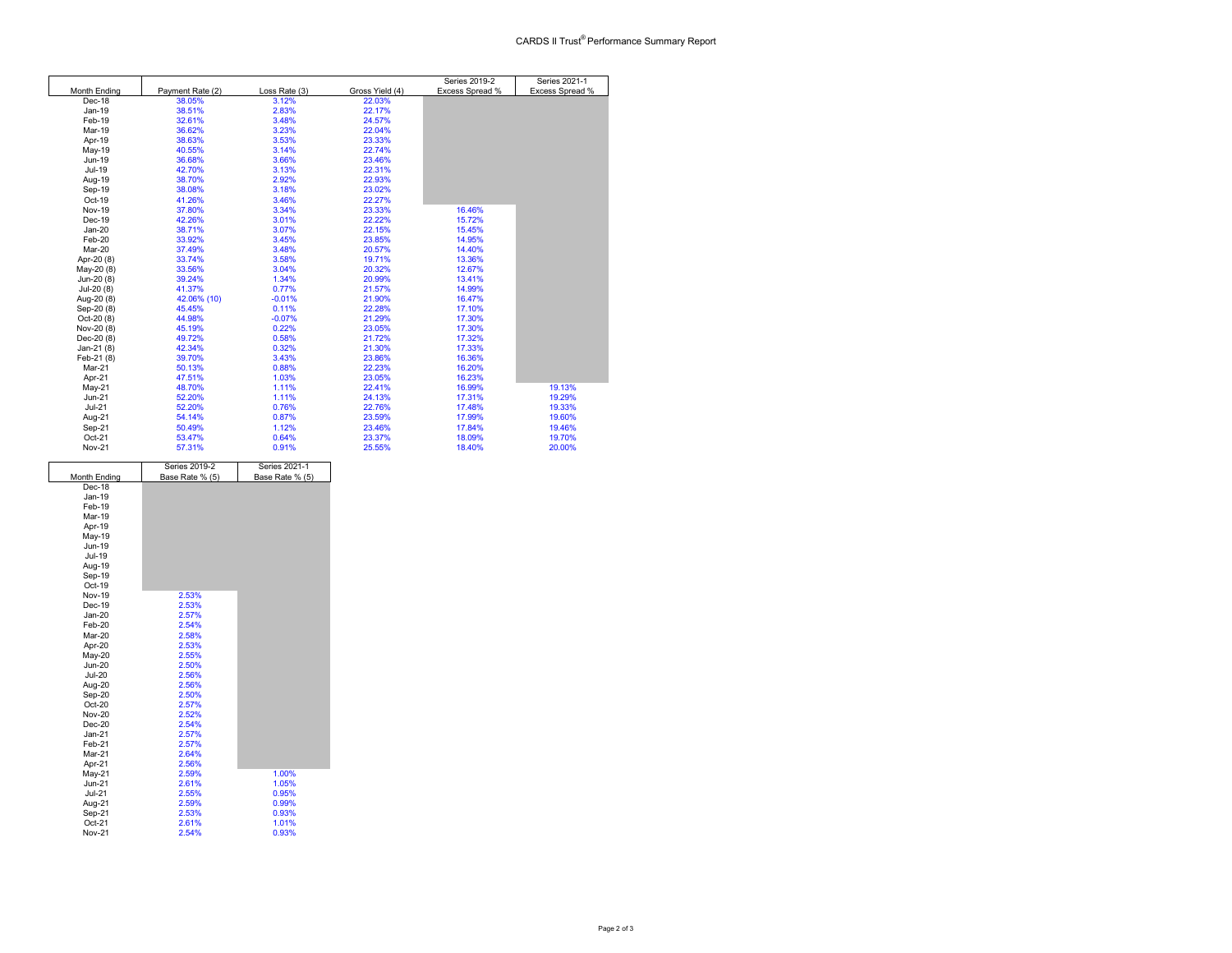|               |                  |               |                 | Series 2019-2   | Series 2021-1   |
|---------------|------------------|---------------|-----------------|-----------------|-----------------|
| Month Ending  | Payment Rate (2) | Loss Rate (3) | Gross Yield (4) | Excess Spread % | Excess Spread % |
| Dec-18        | 38.05%           | 3.12%         | 22.03%          |                 |                 |
| Jan-19        | 38.51%           | 2.83%         | 22.17%          |                 |                 |
| Feb-19        | 32.61%           | 3.48%         | 24.57%          |                 |                 |
| Mar-19        | 36.62%           | 3.23%         | 22.04%          |                 |                 |
| Apr-19        | 38.63%           | 3.53%         | 23.33%          |                 |                 |
| May-19        | 40.55%           | 3.14%         | 22.74%          |                 |                 |
| Jun-19        | 36.68%           | 3.66%         | 23.46%          |                 |                 |
| Jul-19        | 42.70%           | 3.13%         | 22.31%          |                 |                 |
| Aug-19        | 38.70%           | 2.92%         | 22.93%          |                 |                 |
| Sep-19        | 38.08%           | 3.18%         | 23.02%          |                 |                 |
| Oct-19        | 41.26%           | 3.46%         | 22.27%          |                 |                 |
| <b>Nov-19</b> | 37.80%           | 3.34%         | 23.33%          | 16.46%          |                 |
| Dec-19        | 42.26%           | 3.01%         | 22.22%          | 15.72%          |                 |
| $Jan-20$      | 38.71%           | 3.07%         | 22.15%          | 15.45%          |                 |
| Feb-20        | 33.92%           | 3.45%         | 23.85%          | 14.95%          |                 |
| Mar-20        | 37.49%           | 3.48%         | 20.57%          | 14.40%          |                 |
| Apr-20 (8)    | 33.74%           | 3.58%         | 19.71%          | 13.36%          |                 |
| May-20 (8)    | 33.56%           | 3.04%         | 20.32%          | 12.67%          |                 |
| Jun-20 (8)    | 39.24%           | 1.34%         | 20.99%          | 13.41%          |                 |
| Jul-20 (8)    | 41.37%           | 0.77%         | 21.57%          | 14.99%          |                 |
| Aug-20 (8)    | 42.06% (10)      | $-0.01%$      | 21.90%          | 16.47%          |                 |
| Sep-20 (8)    | 45.45%           | 0.11%         | 22.28%          | 17.10%          |                 |
| Oct-20 (8)    | 44.98%           | $-0.07%$      | 21.29%          | 17.30%          |                 |
| Nov-20 (8)    | 45.19%           | 0.22%         | 23.05%          | 17.30%          |                 |
| Dec-20 (8)    | 49.72%           | 0.58%         | 21.72%          | 17.32%          |                 |
| Jan-21 (8)    | 42.34%           | 0.32%         | 21.30%          | 17.33%          |                 |
| Feb-21 (8)    | 39.70%           | 3.43%         | 23.86%          | 16.36%          |                 |
| Mar-21        | 50.13%           | 0.88%         | 22.23%          | 16.20%          |                 |
| Apr-21        | 47.51%           | 1.03%         | 23.05%          | 16.23%          |                 |
| $May-21$      | 48.70%           | 1.11%         | 22.41%          | 16.99%          | 19.13%          |
| $Jun-21$      | 52.20%           | 1.11%         | 24.13%          | 17.31%          | 19.29%          |
| $Jul-21$      | 52.20%           | 0.76%         | 22.76%          | 17.48%          | 19.33%          |
| Aug-21        | 54.14%           | 0.87%         | 23.59%          | 17.99%          | 19.60%          |
| Sep-21        | 50.49%           | 1.12%         | 23.46%          | 17.84%          | 19.46%          |
| Oct-21        | 53.47%           | 0.64%         | 23.37%          | 18.09%          | 19.70%          |
| Nov-21        | 57.31%           | 0.91%         | 25.55%          | 18.40%          | 20.00%          |

|               | Series 2019-2   | Series 2021-1   |
|---------------|-----------------|-----------------|
| Month Ending  | Base Rate % (5) | Base Rate % (5) |
| Dec-18        |                 |                 |
| Jan-19        |                 |                 |
| Feb-19        |                 |                 |
| Mar-19        |                 |                 |
| Apr-19        |                 |                 |
| May-19        |                 |                 |
| Jun-19        |                 |                 |
| Jul-19        |                 |                 |
| Aug-19        |                 |                 |
| Sep-19        |                 |                 |
| Oct-19        |                 |                 |
| <b>Nov-19</b> | 2.53%           |                 |
| $Dec-19$      | 2.53%           |                 |
| $Jan-20$      | 2.57%           |                 |
| Feb-20        | 2.54%           |                 |
| Mar-20        | 2.58%           |                 |
| Apr-20        | 2.53%           |                 |
| May-20        | 2.55%           |                 |
| <b>Jun-20</b> | 2.50%           |                 |
| <b>Jul-20</b> | 2.56%           |                 |
| Aug-20        | 2.56%           |                 |
| Sep-20        | 2.50%           |                 |
| Oct-20        | 2.57%           |                 |
| <b>Nov-20</b> | 2.52%           |                 |
| $Dec-20$      | 2.54%           |                 |
| $Jan-21$      | 2.57%           |                 |
| Feb-21        | 2.57%           |                 |
| Mar-21        | 2.64%           |                 |
| Apr-21        | 2.56%           |                 |
| May-21        | 2.59%           | 1.00%           |
| $Jun-21$      | 2.61%           | 1.05%           |
| $Jul-21$      | 2.55%           | 0.95%           |
| Aug-21        | 2.59%           | 0.99%           |
| Sep-21        | 2.53%           | 0.93%           |
| $Oct-21$      | 2.61%           | 1.01%           |
| <b>Nov-21</b> | 2.54%           | 0.93%           |